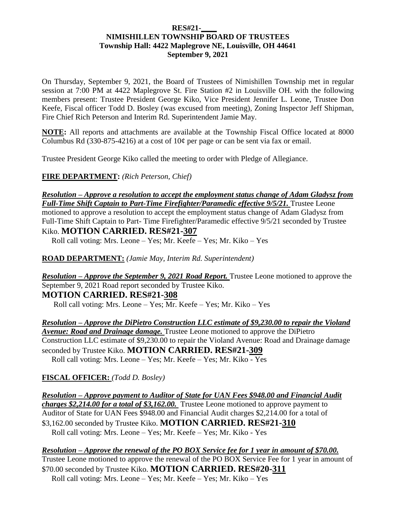#### **RES#21-\_\_\_\_ NIMISHILLEN TOWNSHIP BOARD OF TRUSTEES Township Hall: 4422 Maplegrove NE, Louisville, OH 44641 September 9, 2021**

On Thursday, September 9, 2021, the Board of Trustees of Nimishillen Township met in regular session at 7:00 PM at 4422 Maplegrove St. Fire Station #2 in Louisville OH. with the following members present: Trustee President George Kiko, Vice President Jennifer L. Leone, Trustee Don Keefe, Fiscal officer Todd D. Bosley (was excused from meeting), Zoning Inspector Jeff Shipman, Fire Chief Rich Peterson and Interim Rd. Superintendent Jamie May.

**NOTE:** All reports and attachments are available at the Township Fiscal Office located at 8000 Columbus Rd (330-875-4216) at a cost of  $10¢$  per page or can be sent via fax or email.

Trustee President George Kiko called the meeting to order with Pledge of Allegiance.

**FIRE DEPARTMENT:** *(Rich Peterson, Chief)*

*Resolution – Approve a resolution to accept the employment status change of Adam Gladysz from Full-Time Shift Captain to Part-Time Firefighter/Paramedic effective 9/5/21.* Trustee Leone motioned to approve a resolution to accept the employment status change of Adam Gladysz from Full-Time Shift Captain to Part- Time Firefighter/Paramedic effective 9/5/21 seconded by Trustee Kiko. **MOTION CARRIED. RES#21-307**

Roll call voting: Mrs. Leone – Yes; Mr. Keefe – Yes; Mr. Kiko – Yes

**ROAD DEPARTMENT:** *(Jamie May, Interim Rd. Superintendent)*

*Resolution – Approve the September 9, 2021 Road Report.* Trustee Leone motioned to approve the September 9, 2021 Road report seconded by Trustee Kiko. **MOTION CARRIED. RES#21-308**

Roll call voting: Mrs. Leone – Yes; Mr. Keefe – Yes; Mr. Kiko – Yes

*Resolution – Approve the DiPietro Construction LLC estimate of \$9,230.00 to repair the Violand Avenue: Road and Drainage damage.* Trustee Leone motioned to approve the DiPietro Construction LLC estimate of \$9,230.00 to repair the Violand Avenue: Road and Drainage damage seconded by Trustee Kiko. **MOTION CARRIED. RES#21-309**  Roll call voting: Mrs. Leone – Yes; Mr. Keefe – Yes; Mr. Kiko - Yes

#### **FISCAL OFFICER:** *(Todd D. Bosley)*

*Resolution – Approve payment to Auditor of State for UAN Fees \$948.00 and Financial Audit charges \$2,214.00 for a total of \$3,162.00.* Trustee Leone motioned to approve payment to Auditor of State for UAN Fees \$948.00 and Financial Audit charges \$2,214.00 for a total of \$3,162.00 seconded by Trustee Kiko. **MOTION CARRIED. RES#21-310** Roll call voting: Mrs. Leone – Yes; Mr. Keefe – Yes; Mr. Kiko - Yes

*Resolution – Approve the renewal of the PO BOX Service fee for 1 year in amount of \$70.00.*  Trustee Leone motioned to approve the renewal of the PO BOX Service Fee for 1 year in amount of \$70.00 seconded by Trustee Kiko. **MOTION CARRIED. RES#20-311** Roll call voting: Mrs. Leone – Yes; Mr. Keefe – Yes; Mr. Kiko – Yes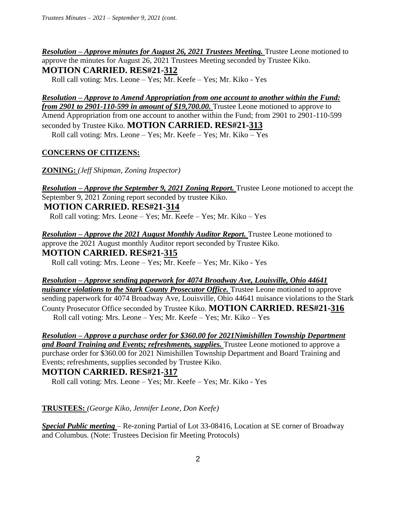*Resolution – Approve minutes for August 26, 2021 Trustees Meeting.* Trustee Leone motioned to approve the minutes for August 26, 2021 Trustees Meeting seconded by Trustee Kiko. **MOTION CARRIED. RES#21-312**

Roll call voting: Mrs. Leone – Yes; Mr. Keefe – Yes; Mr. Kiko - Yes

*Resolution – Approve to Amend Appropriation from one account to another within the Fund: from 2901 to 2901-110-599 in amount of \$19,700.00.* Trustee Leone motioned to approve to Amend Appropriation from one account to another within the Fund; from 2901 to 2901-110-599 seconded by Trustee Kiko. **MOTION CARRIED. RES#21-313** Roll call voting: Mrs. Leone – Yes; Mr. Keefe – Yes; Mr. Kiko – Yes

### **CONCERNS OF CITIZENS:**

**ZONING:** *(Jeff Shipman, Zoning Inspector)* 

*Resolution – Approve the September 9, 2021 Zoning Report.* Trustee Leone motioned to accept the September 9, 2021 Zoning report seconded by trustee Kiko. **MOTION CARRIED. RES#21-314**

Roll call voting: Mrs. Leone – Yes; Mr. Keefe – Yes; Mr. Kiko – Yes

*Resolution – Approve the 2021 August Monthly Auditor Report.* Trustee Leone motioned to approve the 2021 August monthly Auditor report seconded by Trustee Kiko. **MOTION CARRIED. RES#21-315**  Roll call voting: Mrs. Leone – Yes; Mr. Keefe – Yes; Mr. Kiko - Yes

*Resolution – Approve sending paperwork for 4074 Broadway Ave, Louisville, Ohio 44641 nuisance violations to the Stark County Prosecutor Office.* Trustee Leone motioned to approve sending paperwork for 4074 Broadway Ave, Louisville, Ohio 44641 nuisance violations to the Stark County Prosecutor Office seconded by Trustee Kiko. **MOTION CARRIED. RES#21-316** Roll call voting: Mrs. Leone – Yes; Mr. Keefe – Yes; Mr. Kiko – Yes

*Resolution – Approve a purchase order for \$360.00 for 2021Nimishillen Township Department*  and Board Training and Events; refreshments, supplies. Trustee Leone motioned to approve a purchase order for \$360.00 for 2021 Nimishillen Township Department and Board Training and Events; refreshments, supplies seconded by Trustee Kiko.

## **MOTION CARRIED. RES#21-317**

Roll call voting: Mrs. Leone – Yes; Mr. Keefe – Yes; Mr. Kiko - Yes

## **TRUSTEES:** *(George Kiko, Jennifer Leone, Don Keefe)*

*Special Public meeting* – Re-zoning Partial of Lot 33-08416, Location at SE corner of Broadway and Columbus. (Note: Trustees Decision fir Meeting Protocols)